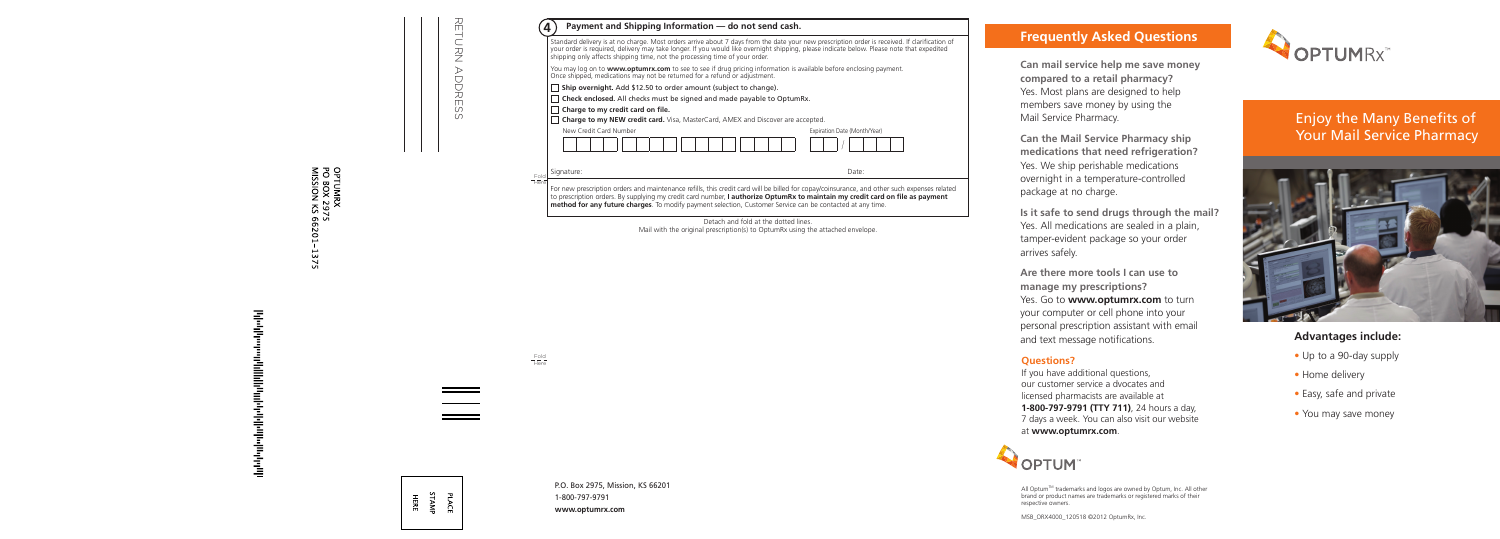### **Advantages include:**

- Up to a 90-day supply
- Home delivery
- Easy, safe and private
- You may save money

# **Frequently Asked Questions**

**Can mail service help me save money compared to a retail pharmacy?** Yes. Most plans are designed to help members save money by using the Mail Service Pharmacy.

**Can the Mail Service Pharmacy ship medications that need refrigeration?** Yes. We ship perishable medications overnight in a temperature-controlled package at no charge.

**Is it safe to send drugs through the mail?** Yes. All medications are sealed in a plain, tamper-evident package so your order arrives safely.

All Optum™ trademarks and logos are owned by Optum, Inc. All other brand or product names are trademarks or registered marks of their respective owners.

**Are there more tools I can use to manage my prescriptions?**  Yes. Go to **www.optumrx.com** to turn your computer or cell phone into your personal prescription assistant with email and text message notifications.

#### **Questions?**

If you have additional questions, our customer service a dvocates and licensed pharmacists are available at **1-800-797-9791 (TTY 711)**, 24 hours a day, 7 days a week. You can also visit our website at **www.optumrx.com**.



MSB\_ORX4000\_120518 ©2012 OptumRx, Inc.



# Enjoy the Many Benefits of Your Mail Service Pharmacy



**www.optumrx.com**

|                          | Payment and Shipping Information - do not send cash.<br>4<br>Standard delivery is at no charge. Most orders arrive about 7 days from the date your new prescription order is received. If clarification of<br>your order is required, delivery may take longer. If you would like overnight shipping, please indicate below. Please note that expedited                                                                                   |  |  |  |  |  |
|--------------------------|-------------------------------------------------------------------------------------------------------------------------------------------------------------------------------------------------------------------------------------------------------------------------------------------------------------------------------------------------------------------------------------------------------------------------------------------|--|--|--|--|--|
|                          | shipping only affects shipping time, not the processing time of your order.<br>You may log on to www.optumrx.com to see to see if drug pricing information is available before enclosing payment.<br>Once shipped, medications may not be returned for a refund or adjustment.                                                                                                                                                            |  |  |  |  |  |
| RETURN ADDREW<br>$\circ$ | Ship overnight. Add \$12.50 to order amount (subject to change).<br>□ Check enclosed. All checks must be signed and made payable to OptumRx.<br>$\Box$ Charge to my credit card on file.<br>Charge to my NEW credit card. Visa, MasterCard, AMEX and Discover are accepted.<br>New Credit Card Number<br>Expiration Date (Month/Year)                                                                                                     |  |  |  |  |  |
|                          | Date:<br>Signature:<br>$-\frac{Fold}{Here}$<br>For new prescription orders and maintenance refills, this credit card will be billed for copay/coinsurance, and other such expenses related<br>to prescription orders. By supplying my credit card number, I authorize OptumRx to maintain my credit card on file as payment<br>method for any future charges. To modify payment selection, Customer Service can be contacted at any time. |  |  |  |  |  |
|                          | Mail with the original prescription(s) to OptumRx using the attached envelope.                                                                                                                                                                                                                                                                                                                                                            |  |  |  |  |  |
|                          | <u>Fold</u><br>Here                                                                                                                                                                                                                                                                                                                                                                                                                       |  |  |  |  |  |
| Ψ<br>곡<br>王.             | P.O. Box 2975, Mission, KS 66201<br>1-800-797-9791                                                                                                                                                                                                                                                                                                                                                                                        |  |  |  |  |  |

OPTUMRX<br>PO BOX 2975<br>MISSION KS 66201–1 1375

անակիրիվ